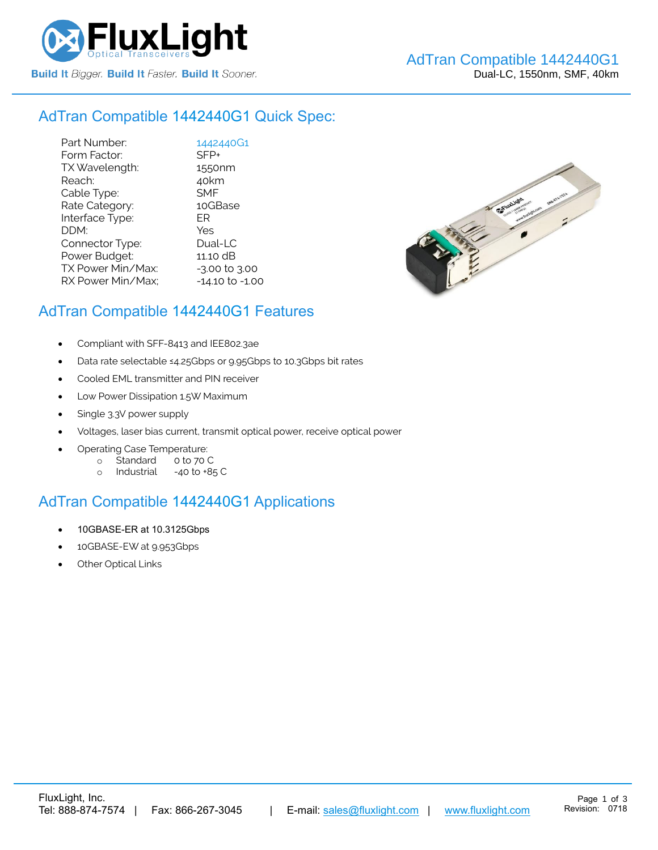

### AdTran Compatible [1442440G1](https://www.fluxlight.com/1442440g1/) Quick Spec:

Part Number: [1442440G1](https://www.fluxlight.com/1442440g1/) Form Factor: SFP+ TX Wavelength: 1550nm Reach: 40km Cable Type: SMF Rate Category: 10GBase Interface Type: ER DDM: Yes Connector Type: Dual-LC Power Budget: 11.10 dB  $TX$  Power Min/Max:  $-3.00$  to  $3.00$ RX Power Min/Max; -14.10 to -1.00



### AdTran Compatible [1442440G1](https://www.fluxlight.com/1442440g1/) Features

- Compliant with SFF-8413 and IEE802.3ae
- Data rate selectable ≤4.25Gbps or 9.95Gbps to 10.3Gbps bit rates
- Cooled EML transmitter and PIN receiver
- Low Power Dissipation 1.5W Maximum
- Single 3.3V power supply
- Voltages, laser bias current, transmit optical power, receive optical power
- Operating Case Temperature:
	- o Standard 0 to 70 C
	- o Industrial -40 to +85 C

# AdTran Compatible [1442440G1](https://www.fluxlight.com/1442440g1/) Applications

- 10GBASE-ER at 10.3125Gbps
- 10GBASE-EW at 9.953Gbps
- **Other Optical Links**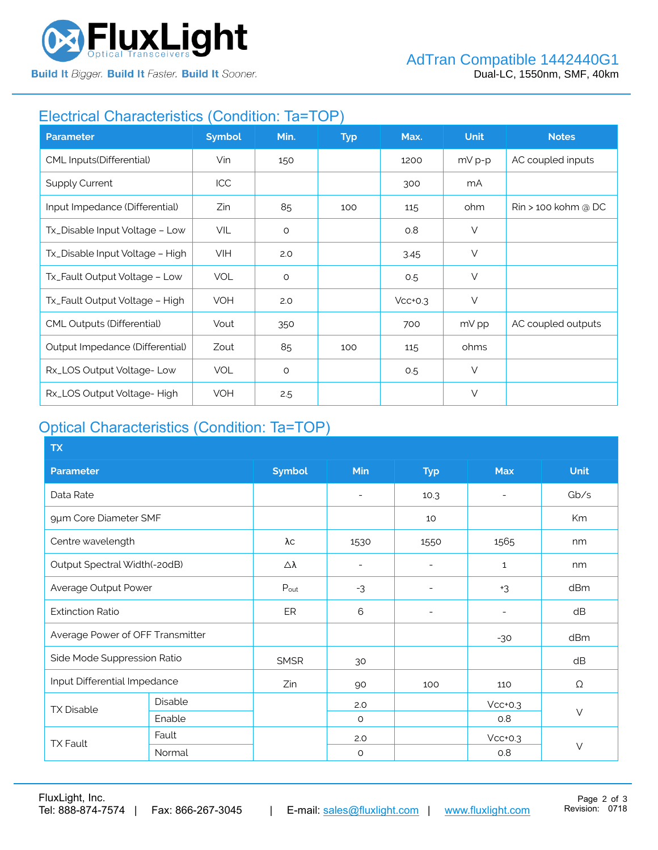

**Build It Bigger. Build It Faster. Build It Sooner.** 

# Electrical Characteristics (Condition: Ta=TOP)

| <b>Parameter</b>                  | <b>Symbol</b> | Min.    | <b>Typ</b> | Max.      | <b>Unit</b> | <b>Notes</b>                    |
|-----------------------------------|---------------|---------|------------|-----------|-------------|---------------------------------|
| CML Inputs(Differential)          | Vin           | 150     |            | 1200      | $mV p-p$    | AC coupled inputs               |
| <b>Supply Current</b>             | ICC           |         |            | 300       | mA          |                                 |
| Input Impedance (Differential)    | Zin           | 85      | 100        | 115       | ohm         | $\mathrm{R}$ in > 100 kohm @ DC |
| Tx_Disable Input Voltage - Low    | VIL           | $\circ$ |            | 0.8       | $\vee$      |                                 |
| Tx_Disable Input Voltage - High   | VIH           | 2.0     |            | 3.45      | $\vee$      |                                 |
| Tx_Fault Output Voltage - Low     | <b>VOL</b>    | $\circ$ |            | 0.5       | $\vee$      |                                 |
| Tx_Fault Output Voltage - High    | <b>VOH</b>    | 2.0     |            | $Vcc+0.3$ | $\vee$      |                                 |
| <b>CML Outputs (Differential)</b> | Vout          | 350     |            | 700       | mV pp       | AC coupled outputs              |
| Output Impedance (Differential)   | Zout          | 85      | 100        | 115       | ohms        |                                 |
| Rx_LOS Output Voltage-Low         | <b>VOL</b>    | $\circ$ |            | 0.5       | $\vee$      |                                 |
| Rx_LOS Output Voltage-High        | <b>VOH</b>    | 2.5     |            |           | $\vee$      |                                 |

# Optical Characteristics (Condition: Ta=TOP)

| <b>TX</b>                        |         |                  |                          |                          |                          |             |  |
|----------------------------------|---------|------------------|--------------------------|--------------------------|--------------------------|-------------|--|
| <b>Parameter</b>                 |         | <b>Symbol</b>    | Min                      | <b>Typ</b>               | <b>Max</b>               | <b>Unit</b> |  |
| Data Rate                        |         |                  | $\overline{\phantom{a}}$ | 10.3                     | $\overline{\phantom{0}}$ | Gb/s        |  |
| 9µm Core Diameter SMF            |         |                  |                          | 10                       |                          | Km          |  |
| Centre wavelength                |         | λс               | 1530                     | 1550                     | 1565                     | nm          |  |
| Output Spectral Width(-20dB)     |         | Δλ               | $\overline{\phantom{a}}$ | $\qquad \qquad$          | $\mathbf{1}$             | nm          |  |
| Average Output Power             |         | $P_{\text{out}}$ | $-3$                     | $\overline{\phantom{a}}$ | $+3$                     | dBm         |  |
| <b>Extinction Ratio</b>          |         | ER               | 6                        | $\overline{\phantom{a}}$ | $\overline{\phantom{0}}$ | dB          |  |
| Average Power of OFF Transmitter |         |                  |                          |                          | $-30$                    | dBm         |  |
| Side Mode Suppression Ratio      |         | <b>SMSR</b>      | 30                       |                          |                          | dB          |  |
| Input Differential Impedance     |         | Zin              | 90                       | 100                      | 110                      | Ω           |  |
| <b>TX Disable</b>                | Disable |                  | 2.0                      |                          | $Vcc+0.3$                | $\vee$      |  |
|                                  | Enable  |                  | $\circ$                  |                          | 0.8                      |             |  |
| <b>TX Fault</b>                  | Fault   |                  | 2.0                      |                          | $Vcc+0.3$                |             |  |
|                                  | Normal  |                  | $\circ$                  |                          | 0.8                      | $\vee$      |  |